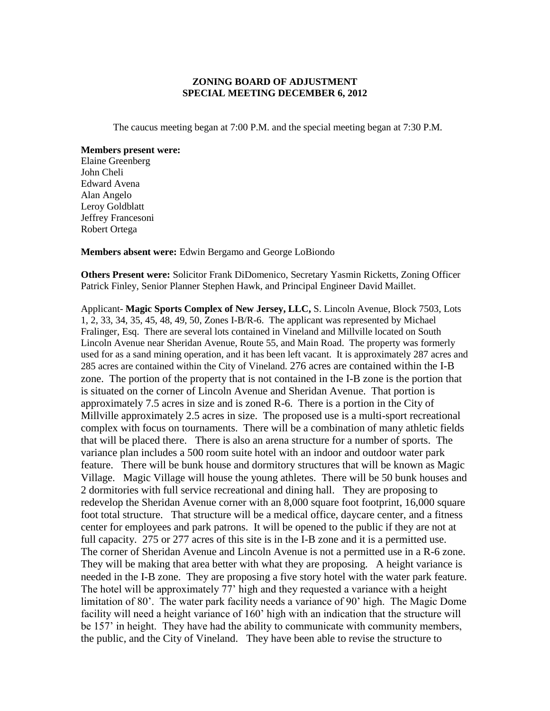## **ZONING BOARD OF ADJUSTMENT SPECIAL MEETING DECEMBER 6, 2012**

The caucus meeting began at 7:00 P.M. and the special meeting began at 7:30 P.M.

**Members present were:** Elaine Greenberg John Cheli Edward Avena Alan Angelo Leroy Goldblatt Jeffrey Francesoni Robert Ortega

**Members absent were:** Edwin Bergamo and George LoBiondo

**Others Present were:** Solicitor Frank DiDomenico, Secretary Yasmin Ricketts, Zoning Officer Patrick Finley, Senior Planner Stephen Hawk, and Principal Engineer David Maillet.

Applicant- **Magic Sports Complex of New Jersey, LLC,** S. Lincoln Avenue, Block 7503, Lots 1, 2, 33, 34, 35, 45, 48, 49, 50, Zones I-B/R-6. The applicant was represented by Michael Fralinger, Esq. There are several lots contained in Vineland and Millville located on South Lincoln Avenue near Sheridan Avenue, Route 55, and Main Road. The property was formerly used for as a sand mining operation, and it has been left vacant. It is approximately 287 acres and 285 acres are contained within the City of Vineland. 276 acres are contained within the I-B zone. The portion of the property that is not contained in the I-B zone is the portion that is situated on the corner of Lincoln Avenue and Sheridan Avenue. That portion is approximately 7.5 acres in size and is zoned R-6. There is a portion in the City of Millville approximately 2.5 acres in size. The proposed use is a multi-sport recreational complex with focus on tournaments. There will be a combination of many athletic fields that will be placed there. There is also an arena structure for a number of sports. The variance plan includes a 500 room suite hotel with an indoor and outdoor water park feature. There will be bunk house and dormitory structures that will be known as Magic Village. Magic Village will house the young athletes. There will be 50 bunk houses and 2 dormitories with full service recreational and dining hall. They are proposing to redevelop the Sheridan Avenue corner with an 8,000 square foot footprint, 16,000 square foot total structure. That structure will be a medical office, daycare center, and a fitness center for employees and park patrons. It will be opened to the public if they are not at full capacity. 275 or 277 acres of this site is in the I-B zone and it is a permitted use. The corner of Sheridan Avenue and Lincoln Avenue is not a permitted use in a R-6 zone. They will be making that area better with what they are proposing. A height variance is needed in the I-B zone. They are proposing a five story hotel with the water park feature. The hotel will be approximately 77' high and they requested a variance with a height limitation of 80'. The water park facility needs a variance of 90' high. The Magic Dome facility will need a height variance of 160' high with an indication that the structure will be 157' in height. They have had the ability to communicate with community members, the public, and the City of Vineland. They have been able to revise the structure to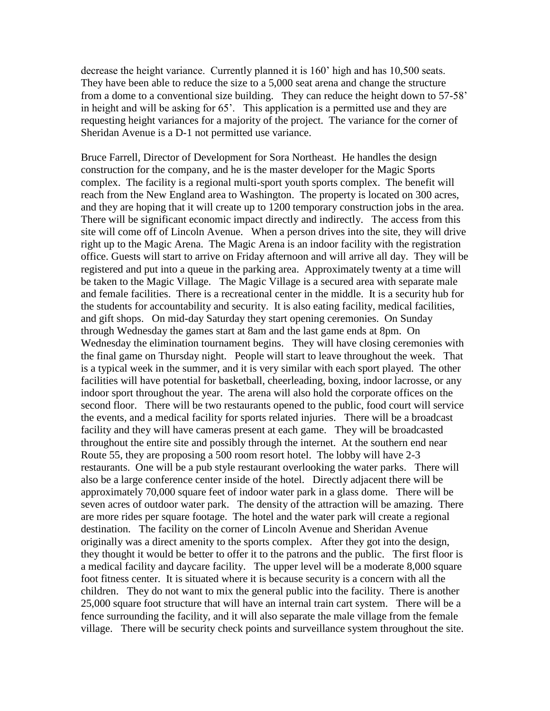decrease the height variance. Currently planned it is 160' high and has 10,500 seats. They have been able to reduce the size to a 5,000 seat arena and change the structure from a dome to a conventional size building. They can reduce the height down to 57-58' in height and will be asking for 65'. This application is a permitted use and they are requesting height variances for a majority of the project. The variance for the corner of Sheridan Avenue is a D-1 not permitted use variance.

Bruce Farrell, Director of Development for Sora Northeast. He handles the design construction for the company, and he is the master developer for the Magic Sports complex. The facility is a regional multi-sport youth sports complex. The benefit will reach from the New England area to Washington. The property is located on 300 acres, and they are hoping that it will create up to 1200 temporary construction jobs in the area. There will be significant economic impact directly and indirectly. The access from this site will come off of Lincoln Avenue. When a person drives into the site, they will drive right up to the Magic Arena. The Magic Arena is an indoor facility with the registration office. Guests will start to arrive on Friday afternoon and will arrive all day. They will be registered and put into a queue in the parking area. Approximately twenty at a time will be taken to the Magic Village. The Magic Village is a secured area with separate male and female facilities. There is a recreational center in the middle. It is a security hub for the students for accountability and security. It is also eating facility, medical facilities, and gift shops. On mid-day Saturday they start opening ceremonies. On Sunday through Wednesday the games start at 8am and the last game ends at 8pm. On Wednesday the elimination tournament begins. They will have closing ceremonies with the final game on Thursday night. People will start to leave throughout the week. That is a typical week in the summer, and it is very similar with each sport played. The other facilities will have potential for basketball, cheerleading, boxing, indoor lacrosse, or any indoor sport throughout the year. The arena will also hold the corporate offices on the second floor. There will be two restaurants opened to the public, food court will service the events, and a medical facility for sports related injuries. There will be a broadcast facility and they will have cameras present at each game. They will be broadcasted throughout the entire site and possibly through the internet. At the southern end near Route 55, they are proposing a 500 room resort hotel. The lobby will have 2-3 restaurants. One will be a pub style restaurant overlooking the water parks. There will also be a large conference center inside of the hotel. Directly adjacent there will be approximately 70,000 square feet of indoor water park in a glass dome. There will be seven acres of outdoor water park. The density of the attraction will be amazing. There are more rides per square footage. The hotel and the water park will create a regional destination. The facility on the corner of Lincoln Avenue and Sheridan Avenue originally was a direct amenity to the sports complex. After they got into the design, they thought it would be better to offer it to the patrons and the public. The first floor is a medical facility and daycare facility. The upper level will be a moderate 8,000 square foot fitness center. It is situated where it is because security is a concern with all the children. They do not want to mix the general public into the facility. There is another 25,000 square foot structure that will have an internal train cart system. There will be a fence surrounding the facility, and it will also separate the male village from the female village. There will be security check points and surveillance system throughout the site.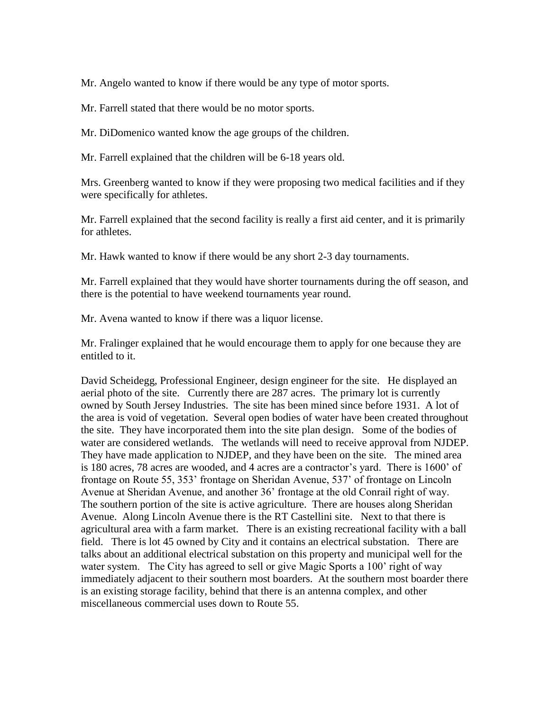Mr. Angelo wanted to know if there would be any type of motor sports.

Mr. Farrell stated that there would be no motor sports.

Mr. DiDomenico wanted know the age groups of the children.

Mr. Farrell explained that the children will be 6-18 years old.

Mrs. Greenberg wanted to know if they were proposing two medical facilities and if they were specifically for athletes.

Mr. Farrell explained that the second facility is really a first aid center, and it is primarily for athletes.

Mr. Hawk wanted to know if there would be any short 2-3 day tournaments.

Mr. Farrell explained that they would have shorter tournaments during the off season, and there is the potential to have weekend tournaments year round.

Mr. Avena wanted to know if there was a liquor license.

Mr. Fralinger explained that he would encourage them to apply for one because they are entitled to it.

David Scheidegg, Professional Engineer, design engineer for the site. He displayed an aerial photo of the site. Currently there are 287 acres. The primary lot is currently owned by South Jersey Industries. The site has been mined since before 1931. A lot of the area is void of vegetation. Several open bodies of water have been created throughout the site. They have incorporated them into the site plan design. Some of the bodies of water are considered wetlands. The wetlands will need to receive approval from NJDEP. They have made application to NJDEP, and they have been on the site. The mined area is 180 acres, 78 acres are wooded, and 4 acres are a contractor's yard. There is 1600' of frontage on Route 55, 353' frontage on Sheridan Avenue, 537' of frontage on Lincoln Avenue at Sheridan Avenue, and another 36' frontage at the old Conrail right of way. The southern portion of the site is active agriculture. There are houses along Sheridan Avenue. Along Lincoln Avenue there is the RT Castellini site. Next to that there is agricultural area with a farm market. There is an existing recreational facility with a ball field. There is lot 45 owned by City and it contains an electrical substation. There are talks about an additional electrical substation on this property and municipal well for the water system. The City has agreed to sell or give Magic Sports a 100' right of way immediately adjacent to their southern most boarders. At the southern most boarder there is an existing storage facility, behind that there is an antenna complex, and other miscellaneous commercial uses down to Route 55.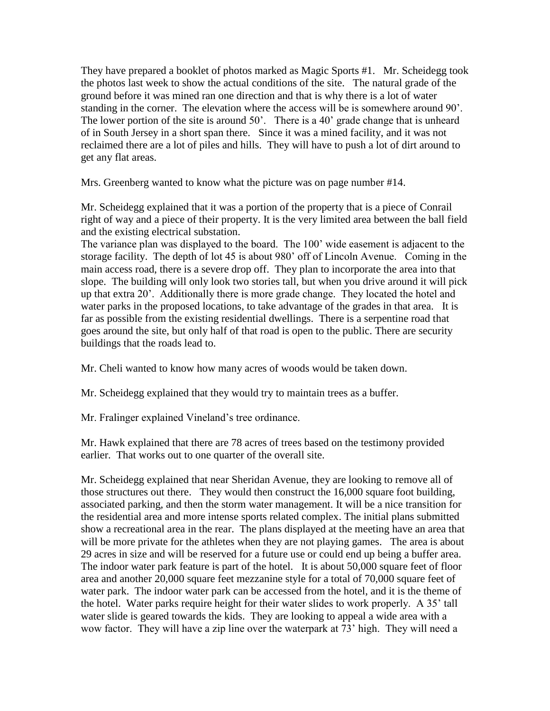They have prepared a booklet of photos marked as Magic Sports #1. Mr. Scheidegg took the photos last week to show the actual conditions of the site. The natural grade of the ground before it was mined ran one direction and that is why there is a lot of water standing in the corner. The elevation where the access will be is somewhere around 90'. The lower portion of the site is around 50'. There is a 40' grade change that is unheard of in South Jersey in a short span there. Since it was a mined facility, and it was not reclaimed there are a lot of piles and hills. They will have to push a lot of dirt around to get any flat areas.

Mrs. Greenberg wanted to know what the picture was on page number #14.

Mr. Scheidegg explained that it was a portion of the property that is a piece of Conrail right of way and a piece of their property. It is the very limited area between the ball field and the existing electrical substation.

The variance plan was displayed to the board. The 100' wide easement is adjacent to the storage facility. The depth of lot 45 is about 980' off of Lincoln Avenue. Coming in the main access road, there is a severe drop off. They plan to incorporate the area into that slope. The building will only look two stories tall, but when you drive around it will pick up that extra 20'. Additionally there is more grade change. They located the hotel and water parks in the proposed locations, to take advantage of the grades in that area. It is far as possible from the existing residential dwellings. There is a serpentine road that goes around the site, but only half of that road is open to the public. There are security buildings that the roads lead to.

Mr. Cheli wanted to know how many acres of woods would be taken down.

Mr. Scheidegg explained that they would try to maintain trees as a buffer.

Mr. Fralinger explained Vineland's tree ordinance.

Mr. Hawk explained that there are 78 acres of trees based on the testimony provided earlier. That works out to one quarter of the overall site.

Mr. Scheidegg explained that near Sheridan Avenue, they are looking to remove all of those structures out there. They would then construct the 16,000 square foot building, associated parking, and then the storm water management. It will be a nice transition for the residential area and more intense sports related complex. The initial plans submitted show a recreational area in the rear. The plans displayed at the meeting have an area that will be more private for the athletes when they are not playing games. The area is about 29 acres in size and will be reserved for a future use or could end up being a buffer area. The indoor water park feature is part of the hotel. It is about 50,000 square feet of floor area and another 20,000 square feet mezzanine style for a total of 70,000 square feet of water park. The indoor water park can be accessed from the hotel, and it is the theme of the hotel. Water parks require height for their water slides to work properly. A 35' tall water slide is geared towards the kids. They are looking to appeal a wide area with a wow factor. They will have a zip line over the waterpark at 73' high. They will need a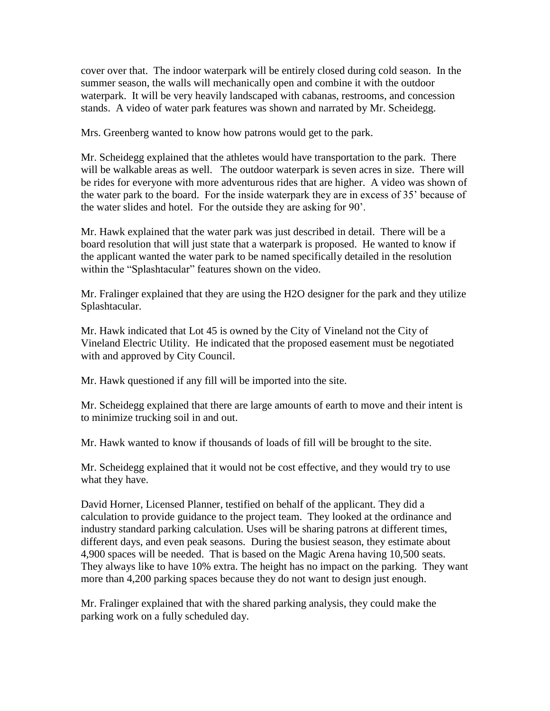cover over that. The indoor waterpark will be entirely closed during cold season. In the summer season, the walls will mechanically open and combine it with the outdoor waterpark. It will be very heavily landscaped with cabanas, restrooms, and concession stands. A video of water park features was shown and narrated by Mr. Scheidegg.

Mrs. Greenberg wanted to know how patrons would get to the park.

Mr. Scheidegg explained that the athletes would have transportation to the park. There will be walkable areas as well. The outdoor waterpark is seven acres in size. There will be rides for everyone with more adventurous rides that are higher. A video was shown of the water park to the board. For the inside waterpark they are in excess of 35' because of the water slides and hotel. For the outside they are asking for 90'.

Mr. Hawk explained that the water park was just described in detail. There will be a board resolution that will just state that a waterpark is proposed. He wanted to know if the applicant wanted the water park to be named specifically detailed in the resolution within the "Splashtacular" features shown on the video.

Mr. Fralinger explained that they are using the H2O designer for the park and they utilize Splashtacular.

Mr. Hawk indicated that Lot 45 is owned by the City of Vineland not the City of Vineland Electric Utility. He indicated that the proposed easement must be negotiated with and approved by City Council.

Mr. Hawk questioned if any fill will be imported into the site.

Mr. Scheidegg explained that there are large amounts of earth to move and their intent is to minimize trucking soil in and out.

Mr. Hawk wanted to know if thousands of loads of fill will be brought to the site.

Mr. Scheidegg explained that it would not be cost effective, and they would try to use what they have.

David Horner, Licensed Planner, testified on behalf of the applicant. They did a calculation to provide guidance to the project team. They looked at the ordinance and industry standard parking calculation. Uses will be sharing patrons at different times, different days, and even peak seasons. During the busiest season, they estimate about 4,900 spaces will be needed. That is based on the Magic Arena having 10,500 seats. They always like to have 10% extra. The height has no impact on the parking. They want more than 4,200 parking spaces because they do not want to design just enough.

Mr. Fralinger explained that with the shared parking analysis, they could make the parking work on a fully scheduled day.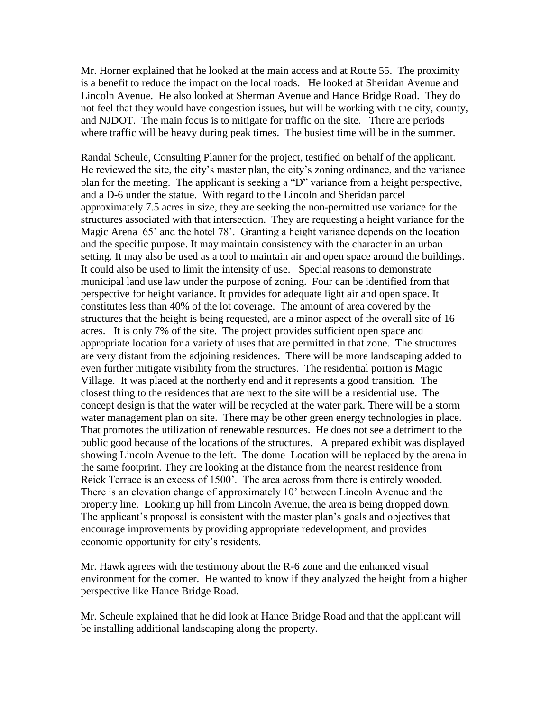Mr. Horner explained that he looked at the main access and at Route 55. The proximity is a benefit to reduce the impact on the local roads. He looked at Sheridan Avenue and Lincoln Avenue. He also looked at Sherman Avenue and Hance Bridge Road. They do not feel that they would have congestion issues, but will be working with the city, county, and NJDOT. The main focus is to mitigate for traffic on the site. There are periods where traffic will be heavy during peak times. The busiest time will be in the summer.

Randal Scheule, Consulting Planner for the project, testified on behalf of the applicant. He reviewed the site, the city's master plan, the city's zoning ordinance, and the variance plan for the meeting. The applicant is seeking a "D" variance from a height perspective, and a D-6 under the statue. With regard to the Lincoln and Sheridan parcel approximately 7.5 acres in size, they are seeking the non-permitted use variance for the structures associated with that intersection. They are requesting a height variance for the Magic Arena 65' and the hotel 78'. Granting a height variance depends on the location and the specific purpose. It may maintain consistency with the character in an urban setting. It may also be used as a tool to maintain air and open space around the buildings. It could also be used to limit the intensity of use. Special reasons to demonstrate municipal land use law under the purpose of zoning. Four can be identified from that perspective for height variance. It provides for adequate light air and open space. It constitutes less than 40% of the lot coverage. The amount of area covered by the structures that the height is being requested, are a minor aspect of the overall site of 16 acres. It is only 7% of the site. The project provides sufficient open space and appropriate location for a variety of uses that are permitted in that zone. The structures are very distant from the adjoining residences. There will be more landscaping added to even further mitigate visibility from the structures. The residential portion is Magic Village. It was placed at the northerly end and it represents a good transition. The closest thing to the residences that are next to the site will be a residential use. The concept design is that the water will be recycled at the water park. There will be a storm water management plan on site. There may be other green energy technologies in place. That promotes the utilization of renewable resources. He does not see a detriment to the public good because of the locations of the structures. A prepared exhibit was displayed showing Lincoln Avenue to the left. The dome Location will be replaced by the arena in the same footprint. They are looking at the distance from the nearest residence from Reick Terrace is an excess of 1500'. The area across from there is entirely wooded. There is an elevation change of approximately 10' between Lincoln Avenue and the property line. Looking up hill from Lincoln Avenue, the area is being dropped down. The applicant's proposal is consistent with the master plan's goals and objectives that encourage improvements by providing appropriate redevelopment, and provides economic opportunity for city's residents.

Mr. Hawk agrees with the testimony about the R-6 zone and the enhanced visual environment for the corner. He wanted to know if they analyzed the height from a higher perspective like Hance Bridge Road.

Mr. Scheule explained that he did look at Hance Bridge Road and that the applicant will be installing additional landscaping along the property.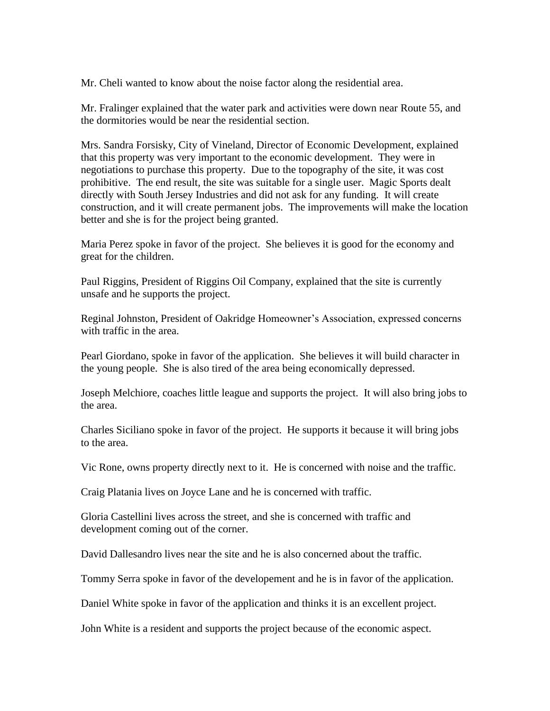Mr. Cheli wanted to know about the noise factor along the residential area.

Mr. Fralinger explained that the water park and activities were down near Route 55, and the dormitories would be near the residential section.

Mrs. Sandra Forsisky, City of Vineland, Director of Economic Development, explained that this property was very important to the economic development. They were in negotiations to purchase this property. Due to the topography of the site, it was cost prohibitive. The end result, the site was suitable for a single user. Magic Sports dealt directly with South Jersey Industries and did not ask for any funding. It will create construction, and it will create permanent jobs. The improvements will make the location better and she is for the project being granted.

Maria Perez spoke in favor of the project. She believes it is good for the economy and great for the children.

Paul Riggins, President of Riggins Oil Company, explained that the site is currently unsafe and he supports the project.

Reginal Johnston, President of Oakridge Homeowner's Association, expressed concerns with traffic in the area.

Pearl Giordano, spoke in favor of the application. She believes it will build character in the young people. She is also tired of the area being economically depressed.

Joseph Melchiore, coaches little league and supports the project. It will also bring jobs to the area.

Charles Siciliano spoke in favor of the project. He supports it because it will bring jobs to the area.

Vic Rone, owns property directly next to it. He is concerned with noise and the traffic.

Craig Platania lives on Joyce Lane and he is concerned with traffic.

Gloria Castellini lives across the street, and she is concerned with traffic and development coming out of the corner.

David Dallesandro lives near the site and he is also concerned about the traffic.

Tommy Serra spoke in favor of the developement and he is in favor of the application.

Daniel White spoke in favor of the application and thinks it is an excellent project.

John White is a resident and supports the project because of the economic aspect.